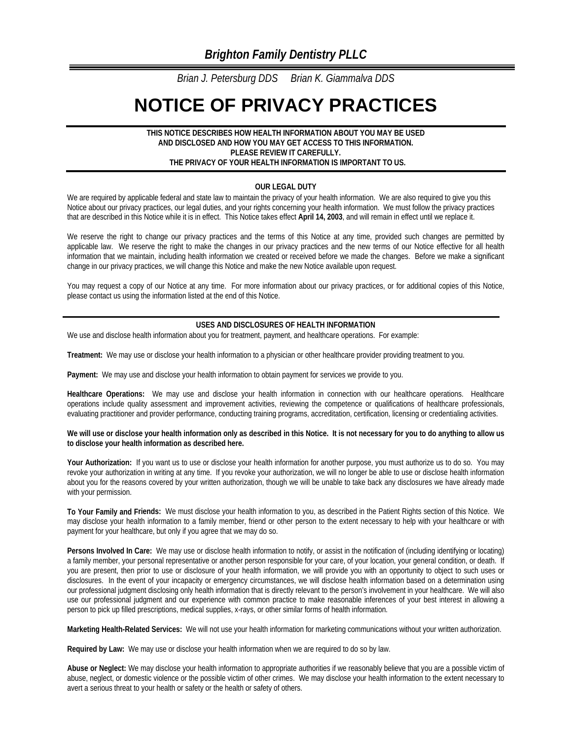*Brian J. Petersburg DDS Brian K. Giammalva DDS* 

# **NOTICE OF PRIVACY PRACTICES**

#### **THIS NOTICE DESCRIBES HOW HEALTH INFORMATION ABOUT YOU MAY BE USED AND DISCLOSED AND HOW YOU MAY GET ACCESS TO THIS INFORMATION. PLEASE REVIEW IT CAREFULLY. THE PRIVACY OF YOUR HEALTH INFORMATION IS IMPORTANT TO US.**

# **OUR LEGAL DUTY**

W e are required by applicable federal and state law to maintain the privacy of your health information. We are also required to give you this Notice about our privacy practices, our legal duties, and your rights concerning your health information. We must follow the privacy practices that are described in this Notice while it is in effect. This Notice takes effect **April 14, 2003**, and will remain in effect until we replace it.

We reserve the right to change our privacy practices and the terms of this Notice at any time, provided such changes are permitted by applicable law. We reserve the right to make the changes in our privacy practices and the new terms of our Notice effective for all health information that we maintain, including health information we created or received before we made the changes. Before we make a significant change in our privacy practices, we will change this Notice and make the new Notice available upon request.

You may request a copy of our Notice at any time. For more information about our privacy practices, or for additional copies of this Notice, please contact us using the information listed at the end of this Notice.

### **USES AND DISCLOSURES OF HEALTH INFORMATION**

We use and disclose health information about you for treatment, payment, and healthcare operations. For example:

Treatment: We may use or disclose your health information to a physician or other healthcare provider providing treatment to you.

**Payment:** We may use and disclose your health information to obtain payment for services we provide to you.

Healthcare Operations: We may use and disclose your health information in connection with our healthcare operations. Healthcare perations include quality assessment and improvement activities, reviewing the competence or qualifications of healthcare professionals, o evaluating practitioner and provider performance, conducting training programs, accreditation, certification, licensing or credentialing activities.

#### **We will use or disclose your health information only as described in this Notice. It is not necessary for you to do anything to allow us to disclose your health information as described here.**

Your Authorization: If you want us to use or disclose your health information for another purpose, you must authorize us to do so. You may revoke your authorization in writing at any time. If you revoke your authorization, we will no longer be able to use or disclose health information about you for the reasons covered by your written authorization, though we will be unable to take back any disclosures we have already made with your permission.

To Your Family and Friends: We must disclose your health information to you, as described in the Patient Rights section of this Notice. We may disclose your health information to a family member, friend or other person to the extent necessary to help with your healthcare or with payment for your healthcare, but only if you agree that we may do so.

Persons Involved In Care: We may use or disclose health information to notify, or assist in the notification of (including identifying or locating) a family member, your personal representative or another person responsible for your care, of your location, your general condition, or death. If you are present, then prior to use or disclosure of your health information, we will provide you with an opportunity to object to such uses or disclosures. In the event of your incapacity or emergency circumstances, we will disclose health information based on a determination using our professional judgment disclosing only health information that is directly relevant to the person's involvement in your healthcare. We will also use our professional judgment and our experience with common practice to make reasonable inferences of your best interest in allowing a person to pick up filled prescriptions, medical supplies, x-rays, or other similar forms of health information.

Marketing Health-Related Services: We will not use your health information for marketing communications without your written authorization.

**Required by Law:** We may use or disclose your health information when we are required to do so by law.

Abuse or Neglect: We may disclose your health information to appropriate authorities if we reasonably believe that you are a possible victim of abuse, neglect, or domestic violence or the possible victim of other crimes. We may disclose your health information to the extent necessary to avert a serious threat to your health or safety or the health or safety of others.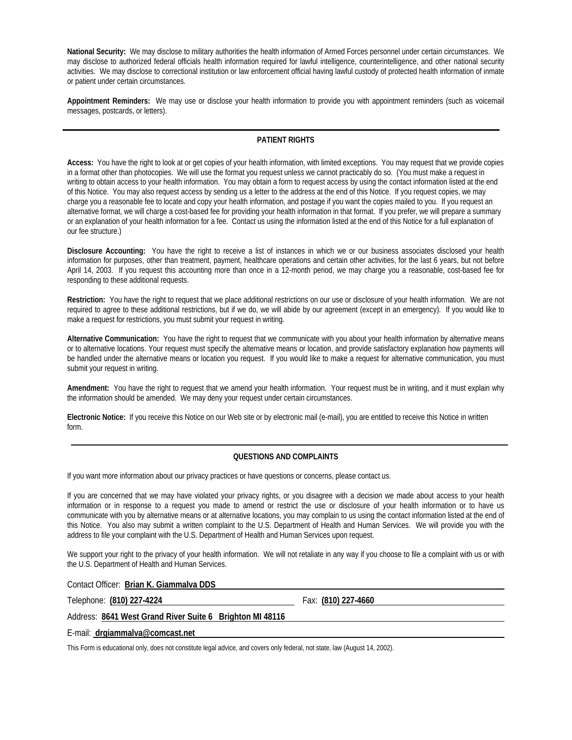activities. We may disclose to correctional institution or law enforcement official having lawful custody of protected health information of inmate or patient under certain circumstances. **National Security:** We may disclose to military authorities the health information of Armed Forces personnel under certain circumstances. We may disclose to authorized federal officials health information required for lawful intelligence, counterintelligence, and other national security

**Appointment Reminders:** We may use or disclose your health information to provide you with appointment reminders (such as voicemail messages, postcards, or letters).

### **PATIENT RIGHTS**

**ccess:** You have the right to look at or get copies of your health information, with limited exceptions. You may request that we provide copies **A** in a format other than photocopies. We will use the format you request unless we cannot practicably do so. (You must make a request in writing to obtain access to your health information. You may obtain a form to request access by using the contact information listed at the end of this Notice. You may also request access by sending us a letter to the address at the end of this Notice. If you request copies, we may alternative format, we will charge a cost-based fee for providing your health information in that format. If you prefer, we will prepare a summary charge you a reasonable fee to locate and copy your health information, and postage if you want the copies mailed to you. If you request an or an explanation of your health information for a fee. Contact us using the information listed at the end of this Notice for a full explanation of our fee structure.)

information for purposes, other than treatment, payment, healthcare operations and certain other activities, for the last 6 years, but not before April 14, 2003. If you request this accounting more than once in a 12-month period, we may charge you a reasonable, cost-based fee for responding to these additional requests. **Disclosure Accounting:** You have the right to receive a list of instances in which we or our business associates disclosed your health

make a request for restrictions, you must submit your request in writing. **Restriction:** You have the right to request that we place additional restrictions on our use or disclosure of your health information. We are not required to agree to these additional restrictions, but if we do, we will abide by our agreement (except in an emergency). If you would like to

be handled under the alternative means or location you request. If you would like to make a request for alternative communication, you must submit your request in writing. **Alternative Communication:** You have the right to request that we communicate with you about your health information by alternative means or to alternative locations. Your request must specify the alternative means or location, and provide satisfactory explanation how payments will

**Amendment:** You have the right to request that we amend your health information. Your request must be in writing, and it must explain why the information should be amended. We may deny your request under certain circumstances.

**lectronic Notice:** If you receive this Notice on our Web site or by electronic mail (e-mail), you are entitled to receive this Notice in written **E** form.

### **QUESTIONS AND COMPLAINTS**

If you want more information about our privacy practices or have questions or concerns, please contact us.

If you are concerned that we may have violated your privacy rights, or you disagree with a decision we made about access to your health formation or in response to a request you made to amend or restrict the use or disclosure of your health information or to have us in communicate with you by alternative means or at alternative locations, you may complain to us using the contact information listed at the end of this Notice. You also may submit a written complaint to the U.S. Department of Health and Human Services. We will provide you with the address to file your complaint with the U.S. Department of Health and Human Services upon request.

We support your right to the privacy of your health information. We will not retaliate in any way if you choose to file a complaint with us or with the U.S. Department of Health and Human Services.

Contact Officer: **Brian K. Giammalva DDS** 

Telephone: **(810) 227-4224** Fax: **(810) 227-4660**

Address: **8641 West Grand River Suite 6 Brighton MI 48116**

E-mail: **drgiammalva@comcast.net**

This Form is educational only, does not constitute legal advice, and covers only federal, not state, law (August 14, 2002).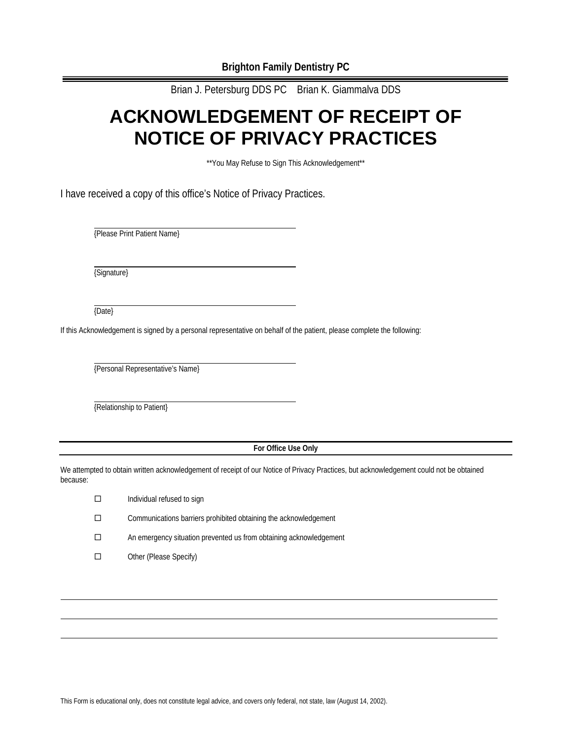**Brighton Family Dentistry PC** 

Brian J. Petersburg DDS PC Brian K. Giammalva DDS

# **ACKNOWLEDGEMENT OF RECEIPT OF NOTICE OF PRIVACY PRACTICES**

\*\*You May Refuse to Sign This Acknowledgement\*\*

I have received a copy of this office's Notice of Privacy Practices.

{Please Print Patient Name}

{Signature}

{Date}

If this Acknowledgement is signed by a personal representative on behalf of the patient, please complete the following:

{Personal Representative's Name}

{Relationship to Patient}

**For Office Use Only** 

We attempted to obtain written acknowledgement of receipt of our Notice of Privacy Practices, but acknowledgement could not be obtained because:

 $\Box$  Individual refused to sign

Communications barriers prohibited obtaining the acknowledgement

An emergency situation prevented us from obtaining acknowledgement

□ Other (Please Specify)

This Form is educational only, does not constitute legal advice, and covers only federal, not state, law (August 14, 2002).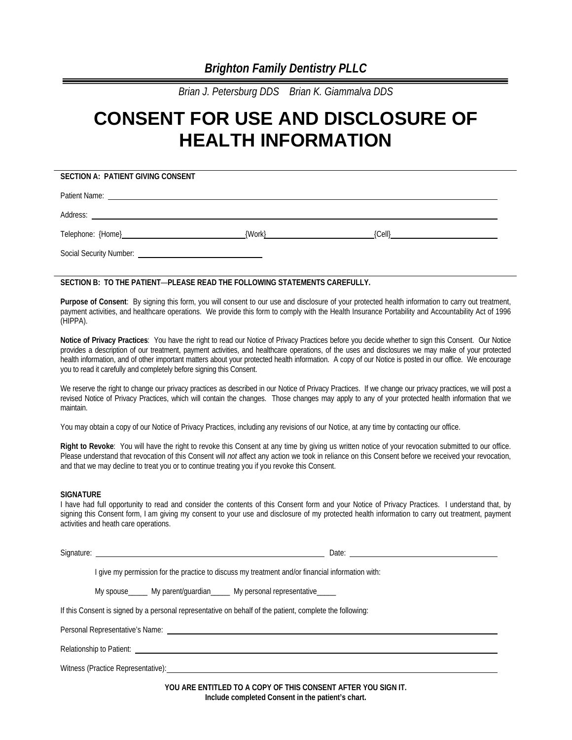# *Brighton Family Dentistry PLLC*

*Brian J. Petersburg DDS Brian K. Giammalva DDS* 

# **CONSENT FOR USE AND DISCLOSURE OF HEALTH INFORMATION**

## **SECTION A: PATIENT GIVING CONSENT**

Patient Name:

Address:

Telephone: {Home} {Work} {Cell}

Social Security Number:

## **SECTION B: TO THE PATIENT**—**PLEASE READ THE FOLLOWING STATEMENTS CAREFULLY.**

**Purpose of Consent**: By signing this form, you will consent to our use and disclosure of your protected health information to carry out treatment, payment activities, and healthcare operations. We provide this form to comply with the Health Insurance Portability and Accountability Act of 1996 (HIPPA).

**Notice of Privacy Practices**: You have the right to read our Notice of Privacy Practices before you decide whether to sign this Consent. Our Notice provides a description of our treatment, payment activities, and healthcare operations, of the uses and disclosures we may make of your protected health information, and of other important matters about your protected health information. A copy of our Notice is posted in our office. We encourage you to read it carefully and completely before signing this Consent.

We reserve the right to change our privacy practices as described in our Notice of Privacy Practices. If we change our privacy practices, we will post a revised Notice of Privacy Practices, which will contain the changes. Those changes may apply to any of your protected health information that we maintain.

You may obtain a copy of our Notice of Privacy Practices, including any revisions of our Notice, at any time by contacting our office.

**Right to Revoke**: You will have the right to revoke this Consent at any time by giving us written notice of your revocation submitted to our office. Please understand that revocation of this Consent will *not* affect any action we took in reliance on this Consent before we received your revocation, and that we may decline to treat you or to continue treating you if you revoke this Consent.

#### **SIGNATURE**

I have had full opportunity to read and consider the contents of this Consent form and your Notice of Privacy Practices. I understand that, by signing this Consent form, I am giving my consent to your use and disclosure of my protected health information to carry out treatment, payment activities and heath care operations.

|                                                                                                                                                                                                                                      | Date:                                                                                          |  |  |  |
|--------------------------------------------------------------------------------------------------------------------------------------------------------------------------------------------------------------------------------------|------------------------------------------------------------------------------------------------|--|--|--|
|                                                                                                                                                                                                                                      | give my permission for the practice to discuss my treatment and/or financial information with: |  |  |  |
|                                                                                                                                                                                                                                      | My spouse______ My parent/guardian_____ My personal representative_____                        |  |  |  |
| If this Consent is signed by a personal representative on behalf of the patient, complete the following:                                                                                                                             |                                                                                                |  |  |  |
|                                                                                                                                                                                                                                      |                                                                                                |  |  |  |
| Relationship to Patient: <u>contract the contract of the contract of the contract of the contract of the contract of the contract of the contract of the contract of the contract of the contract of the contract of the contrac</u> |                                                                                                |  |  |  |
| Witness (Practice Representative):                                                                                                                                                                                                   |                                                                                                |  |  |  |

**YOU ARE ENTITLED TO A COPY OF THIS CONSENT AFTER YOU SIGN IT. Include completed Consent in the patient's chart.**